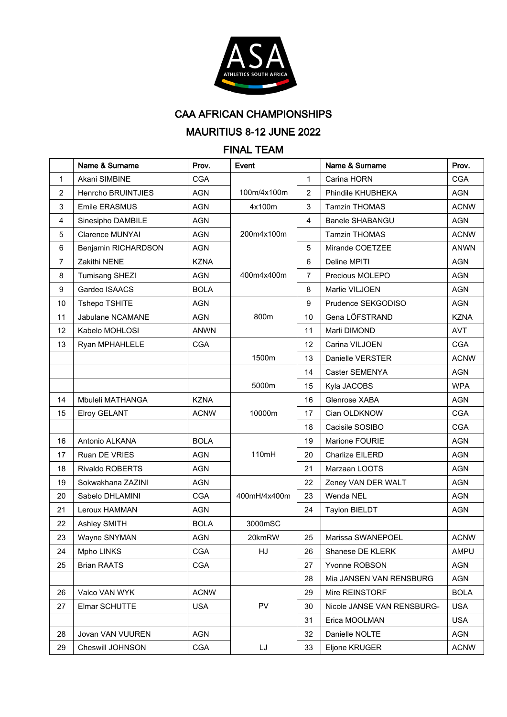

**CAA AFRICAN CHAMPIONSHIPS** 

## MAURITIUS 8-12 JUNE 2022

## **FINAL TEAM**

|                  | Name & Surname         | Prov.       | Event        |                | Name & Surname             | Prov.       |
|------------------|------------------------|-------------|--------------|----------------|----------------------------|-------------|
| $\mathbf{1}$     | Akani SIMBINE          | <b>CGA</b>  |              | 1              | Carina HORN                | <b>CGA</b>  |
| $\overline{2}$   | Henrcho BRUINTJIES     | <b>AGN</b>  | 100m/4x100m  | $\overline{2}$ | Phindile KHUBHEKA          | <b>AGN</b>  |
| 3                | Emile ERASMUS          | <b>AGN</b>  | 4x100m       | 3              | <b>Tamzin THOMAS</b>       | <b>ACNW</b> |
| 4                | Sinesipho DAMBILE      | <b>AGN</b>  |              | $\overline{4}$ | Banele SHABANGU            | <b>AGN</b>  |
| 5                | <b>Clarence MUNYAI</b> | <b>AGN</b>  | 200m4x100m   |                | <b>Tamzin THOMAS</b>       | <b>ACNW</b> |
| 6                | Benjamin RICHARDSON    | <b>AGN</b>  |              | 5              | Mirande COETZEE            | <b>ANWN</b> |
| $\overline{7}$   | Zakithi NENE           | <b>KZNA</b> |              | 6              | Deline MPITI               | <b>AGN</b>  |
| 8                | <b>Tumisang SHEZI</b>  | <b>AGN</b>  | 400m4x400m   | 7              | Precious MOLEPO            | <b>AGN</b>  |
| $\boldsymbol{9}$ | Gardeo ISAACS          | <b>BOLA</b> |              | 8              | Marlie VILJOEN             | <b>AGN</b>  |
| 10               | Tshepo TSHITE          | <b>AGN</b>  |              | 9              | Prudence SEKGODISO         | <b>AGN</b>  |
| 11               | Jabulane NCAMANE       | <b>AGN</b>  | 800m         | 10             | Gena LÖFSTRAND             | <b>KZNA</b> |
| 12               | Kabelo MOHLOSI         | ANWN        |              | 11             | Marli DIMOND               | <b>AVT</b>  |
| 13               | Ryan MPHAHLELE         | <b>CGA</b>  |              | 12             | Carina VILJOEN             | <b>CGA</b>  |
|                  |                        |             | 1500m        | 13             | Danielle VERSTER           | <b>ACNW</b> |
|                  |                        |             |              | 14             | Caster SEMENYA             | <b>AGN</b>  |
|                  |                        |             | 5000m        | 15             | Kyla JACOBS                | <b>WPA</b>  |
| 14               | Mbuleli MATHANGA       | <b>KZNA</b> |              | 16             | Glenrose XABA              | <b>AGN</b>  |
| 15               | <b>Elroy GELANT</b>    | <b>ACNW</b> | 10000m       | 17             | Cian OLDKNOW               | <b>CGA</b>  |
|                  |                        |             |              | 18             | Cacisile SOSIBO            | <b>CGA</b>  |
| 16               | Antonio ALKANA         | <b>BOLA</b> |              | 19             | Marione FOURIE             | <b>AGN</b>  |
| 17               | Ruan DE VRIES          | <b>AGN</b>  | 110mH        | 20             | Charlize EILERD            | <b>AGN</b>  |
| 18               | Rivaldo ROBERTS        | <b>AGN</b>  |              | 21             | Marzaan LOOTS              | <b>AGN</b>  |
| 19               | Sokwakhana ZAZINI      | <b>AGN</b>  |              | 22             | Zeney VAN DER WALT         | <b>AGN</b>  |
| 20               | Sabelo DHLAMINI        | <b>CGA</b>  | 400mH/4x400m | 23             | Wenda NEL                  | <b>AGN</b>  |
| 21               | Leroux HAMMAN          | <b>AGN</b>  |              | 24             | <b>Taylon BIELDT</b>       | <b>AGN</b>  |
| 22               | Ashley SMITH           | <b>BOLA</b> | 3000mSC      |                |                            |             |
| 23               | Wayne SNYMAN           | AGN         | 20kmRW       | 25             | Marissa SWANEPOEL          | <b>ACNW</b> |
| 24               | Mpho LINKS             | <b>CGA</b>  | HJ           | 26             | Shanese DE KLERK           | AMPU        |
| 25               | <b>Brian RAATS</b>     | <b>CGA</b>  |              | 27             | Yvonne ROBSON              | AGN         |
|                  |                        |             |              | 28             | Mia JANSEN VAN RENSBURG    | AGN         |
| 26               | Valco VAN WYK          | <b>ACNW</b> |              | 29             | Mire REINSTORF             | <b>BOLA</b> |
| 27               | Elmar SCHUTTE          | <b>USA</b>  | PV           | 30             | Nicole JANSE VAN RENSBURG- | <b>USA</b>  |
|                  |                        |             |              | 31             | Erica MOOLMAN              | <b>USA</b>  |
| 28               | Jovan VAN VUUREN       | <b>AGN</b>  |              | 32             | Danielle NOLTE             | AGN         |
| 29               | Cheswill JOHNSON       | <b>CGA</b>  | LJ           | 33             | Eljone KRUGER              | <b>ACNW</b> |